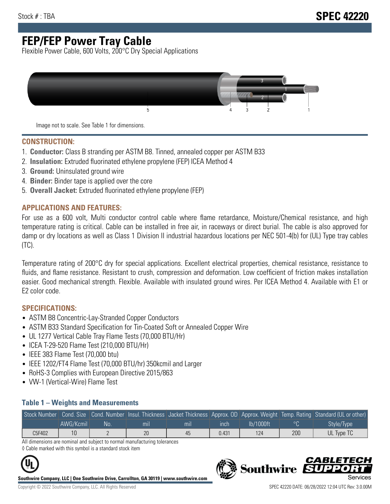# **FEP/FEP Power Tray Cable**

Flexible Power Cable, 600 Volts, 200°C Dry Special Applications



Image not to scale. See Table 1 for dimensions.

#### **CONSTRUCTION:**

- 1. **Conductor:** Class B stranding per ASTM B8. Tinned, annealed copper per ASTM B33
- 2. **Insulation:** Extruded fluorinated ethylene propylene (FEP) ICEA Method 4
- 3. **Ground:** Uninsulated ground wire
- 4. **Binder:** Binder tape is applied over the core
- 5. **Overall Jacket:** Extruded fluorinated ethylene propylene (FEP)

### **APPLICATIONS AND FEATURES:**

For use as a 600 volt, Multi conductor control cable where flame retardance, Moisture/Chemical resistance, and high temperature rating is critical. Cable can be installed in free air, in raceways or direct burial. The cable is also approved for damp or dry locations as well as Class 1 Division II industrial hazardous locations per NEC 501-4(b) for (UL) Type tray cables (TC).

Temperature rating of 200°C dry for special applications. Excellent electrical properties, chemical resistance, resistance to fluids, and flame resistance. Resistant to crush, compression and deformation. Low coefficient of friction makes installation easier. Good mechanical strength. Flexible. Available with insulated ground wires. Per ICEA Method 4. Available with E1 or E2 color code.

### **SPECIFICATIONS:**

- ASTM B8 Concentric-Lay-Stranded Copper Conductors
- ASTM B33 Standard Specification for Tin-Coated Soft or Annealed Copper Wire
- UL 1277 Vertical Cable Tray Flame Tests (70,000 BTU/Hr)
- ICEA T-29-520 Flame Test (210,000 BTU/Hr)
- IEEE 383 Flame Test (70,000 btu)
- IEEE 1202/FT4 Flame Test (70,000 BTU/hr) 350kcmil and Larger
- RoHS-3 Complies with European Directive 2015/863
- VW-1 (Vertical-Wire) Flame Test

#### **Table 1 – Weights and Measurements**

| Stock Number |           |     |                |                |       |           |     | Cond. Size Cond. Number Insul. Thickness Jacket Thickness Approx. OD Approx. Weight Temp. Rating Standard (UL or other) |
|--------------|-----------|-----|----------------|----------------|-------|-----------|-----|-------------------------------------------------------------------------------------------------------------------------|
|              | AWG/Kcmil | No. | m <sub>l</sub> | m <sub>l</sub> | ınch  | lb/1000ft |     | Style/Type                                                                                                              |
| C5F402       |           |     | 20             | 45             | 0.431 | 124       | 200 | UL Type TC                                                                                                              |

All dimensions are nominal and subject to normal manufacturing tolerances ◊ Cable marked with this symbol is a standard stock item

**Southwire Company, LLC | One Southwire Drive, Carrollton, GA 30119 | www.southwire.com**